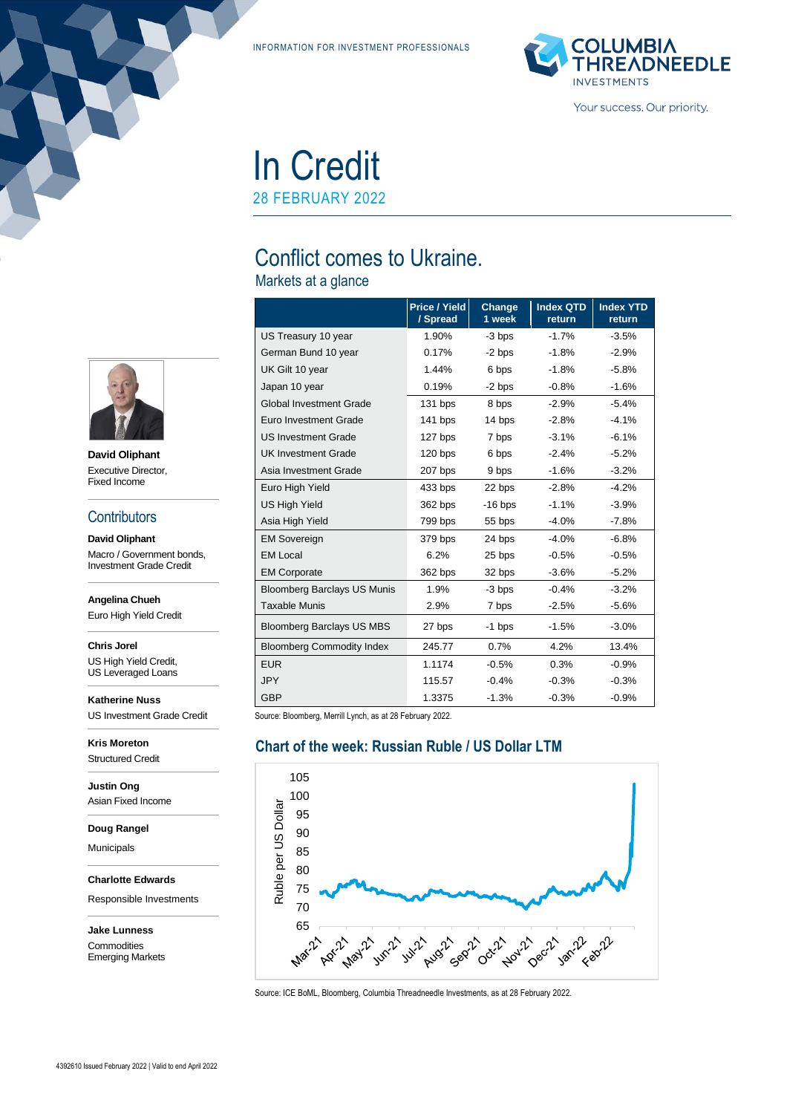INFORMATION FOR INVESTMENT PROFESSIONALS



# In Credit

28 FEBRUARY 2022

## Conflict comes to Ukraine.

Markets at a glance

|                                    | <b>Price / Yield</b><br>/ Spread | Change<br>1 week | <b>Index QTD</b><br>return | <b>Index YTD</b><br>return |
|------------------------------------|----------------------------------|------------------|----------------------------|----------------------------|
| US Treasury 10 year                | 1.90%                            | -3 bps           | $-1.7%$                    | $-3.5%$                    |
| German Bund 10 year                | 0.17%                            | $-2$ bps         | $-1.8%$                    | $-2.9%$                    |
| UK Gilt 10 year                    | 1.44%                            | 6 bps            | $-1.8%$                    | $-5.8%$                    |
| Japan 10 year                      | 0.19%                            | $-2$ bps         | $-0.8%$                    | $-1.6%$                    |
| <b>Global Investment Grade</b>     | 131 bps                          | 8 bps            | $-2.9%$                    | $-5.4%$                    |
| Euro Investment Grade              | $141$ bps                        | 14 bps           | $-2.8%$                    | $-4.1%$                    |
| <b>US Investment Grade</b>         | 127 bps                          | 7 bps            | $-3.1%$                    | $-6.1%$                    |
| <b>UK Investment Grade</b>         | $120$ bps                        | 6 bps            | $-2.4%$                    | $-5.2%$                    |
| Asia Investment Grade              | 207 bps                          | 9 bps            | $-1.6%$                    | $-3.2%$                    |
| Euro High Yield                    | 433 bps                          | 22 bps           | $-2.8%$                    | $-4.2%$                    |
| <b>US High Yield</b>               | 362 bps                          | $-16$ bps        | $-1.1%$                    | $-3.9%$                    |
| Asia High Yield                    | 799 bps                          | 55 bps           | $-4.0%$                    | $-7.8%$                    |
| <b>EM Sovereign</b>                | 379 bps                          | 24 bps           | $-4.0%$                    | $-6.8%$                    |
| <b>EM Local</b>                    | 6.2%                             | 25 bps           | $-0.5%$                    | $-0.5%$                    |
| <b>EM Corporate</b>                | 362 bps                          | 32 bps           | $-3.6%$                    | $-5.2%$                    |
| <b>Bloomberg Barclays US Munis</b> | 1.9%                             | -3 bps           | $-0.4%$                    | $-3.2%$                    |
| <b>Taxable Munis</b>               | 2.9%                             | 7 bps            | $-2.5%$                    | $-5.6%$                    |
| <b>Bloomberg Barclays US MBS</b>   | 27 bps                           | $-1$ bps         | $-1.5%$                    | $-3.0%$                    |
| <b>Bloomberg Commodity Index</b>   | 245.77                           | 0.7%             | 4.2%                       | 13.4%                      |
| <b>EUR</b>                         | 1.1174                           | $-0.5%$          | 0.3%                       | $-0.9%$                    |
| <b>JPY</b>                         | 115.57                           | $-0.4%$          | $-0.3%$                    | $-0.3%$                    |
| <b>GBP</b>                         | 1.3375                           | $-1.3%$          | $-0.3%$                    | $-0.9%$                    |

Source: Bloomberg, Merrill Lynch, as at 28 February 2022.

#### **Chart of the week: Russian Ruble / US Dollar LTM**



Source: ICE BoML, Bloomberg, Columbia Threadneedle Investments, as at 28 February 2022.



**David Oliphant** Executive Director, Fixed Income

#### **Contributors**

**David Oliphant** Macro / Government bonds, Investment Grade Credit

**Angelina Chueh**

Euro High Yield Credit

**Chris Jorel** US High Yield Credit,

US Leveraged Loans

**Katherine Nuss** US Investment Grade Credit

**Kris Moreton** Structured Credit

**Justin Ong** Asian Fixed Income

**Doug Rangel**

Municipals

**Charlotte Edwards**

Responsible Investments

**Jake Lunness Commodities** Emerging Markets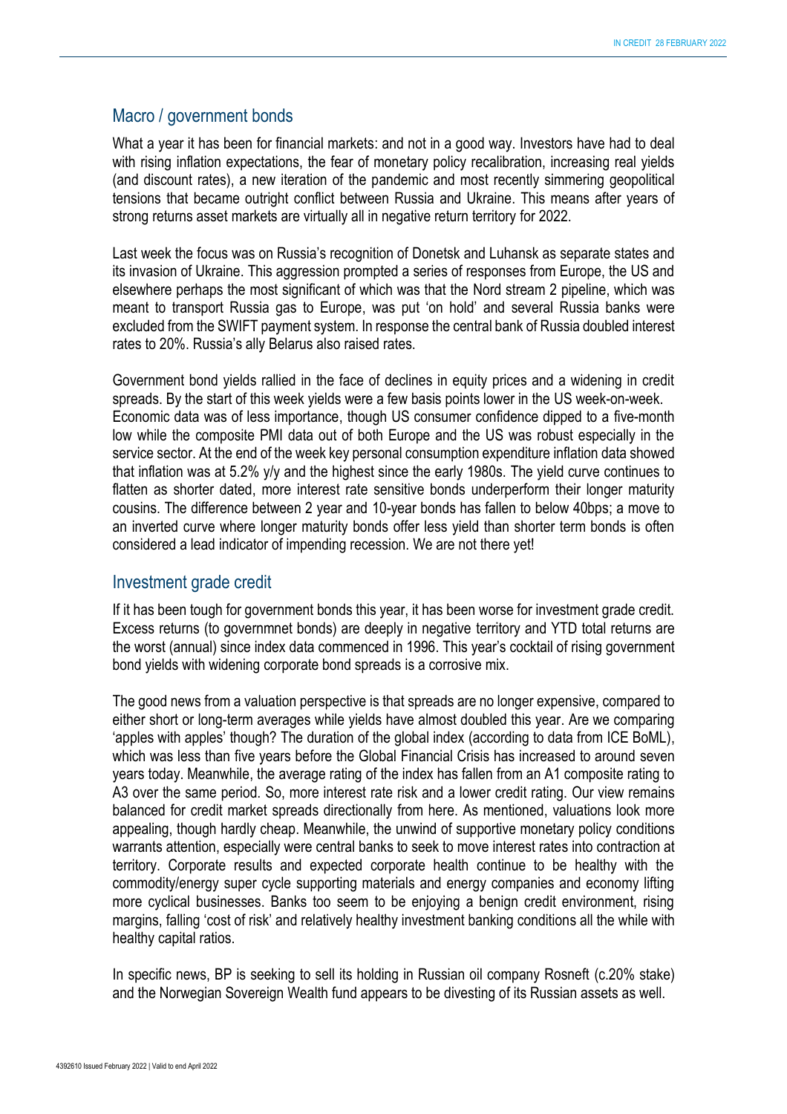#### Macro / government bonds

What a year it has been for financial markets: and not in a good way. Investors have had to deal with rising inflation expectations, the fear of monetary policy recalibration, increasing real yields (and discount rates), a new iteration of the pandemic and most recently simmering geopolitical tensions that became outright conflict between Russia and Ukraine. This means after years of strong returns asset markets are virtually all in negative return territory for 2022.

Last week the focus was on Russia's recognition of Donetsk and Luhansk as separate states and its invasion of Ukraine. This aggression prompted a series of responses from Europe, the US and elsewhere perhaps the most significant of which was that the Nord stream 2 pipeline, which was meant to transport Russia gas to Europe, was put 'on hold' and several Russia banks were excluded from the SWIFT payment system. In response the central bank of Russia doubled interest rates to 20%. Russia's ally Belarus also raised rates.

Government bond yields rallied in the face of declines in equity prices and a widening in credit spreads. By the start of this week yields were a few basis points lower in the US week-on-week. Economic data was of less importance, though US consumer confidence dipped to a five-month low while the composite PMI data out of both Europe and the US was robust especially in the service sector. At the end of the week key personal consumption expenditure inflation data showed that inflation was at 5.2% y/y and the highest since the early 1980s. The yield curve continues to flatten as shorter dated, more interest rate sensitive bonds underperform their longer maturity cousins. The difference between 2 year and 10-year bonds has fallen to below 40bps; a move to an inverted curve where longer maturity bonds offer less yield than shorter term bonds is often considered a lead indicator of impending recession. We are not there yet!

#### Investment grade credit

If it has been tough for government bonds this year, it has been worse for investment grade credit. Excess returns (to governmnet bonds) are deeply in negative territory and YTD total returns are the worst (annual) since index data commenced in 1996. This year's cocktail of rising government bond yields with widening corporate bond spreads is a corrosive mix.

The good news from a valuation perspective is that spreads are no longer expensive, compared to either short or long-term averages while yields have almost doubled this year. Are we comparing 'apples with apples' though? The duration of the global index (according to data from ICE BoML), which was less than five years before the Global Financial Crisis has increased to around seven years today. Meanwhile, the average rating of the index has fallen from an A1 composite rating to A3 over the same period. So, more interest rate risk and a lower credit rating. Our view remains balanced for credit market spreads directionally from here. As mentioned, valuations look more appealing, though hardly cheap. Meanwhile, the unwind of supportive monetary policy conditions warrants attention, especially were central banks to seek to move interest rates into contraction at territory. Corporate results and expected corporate health continue to be healthy with the commodity/energy super cycle supporting materials and energy companies and economy lifting more cyclical businesses. Banks too seem to be enjoying a benign credit environment, rising margins, falling 'cost of risk' and relatively healthy investment banking conditions all the while with healthy capital ratios.

In specific news, BP is seeking to sell its holding in Russian oil company Rosneft (c.20% stake) and the Norwegian Sovereign Wealth fund appears to be divesting of its Russian assets as well.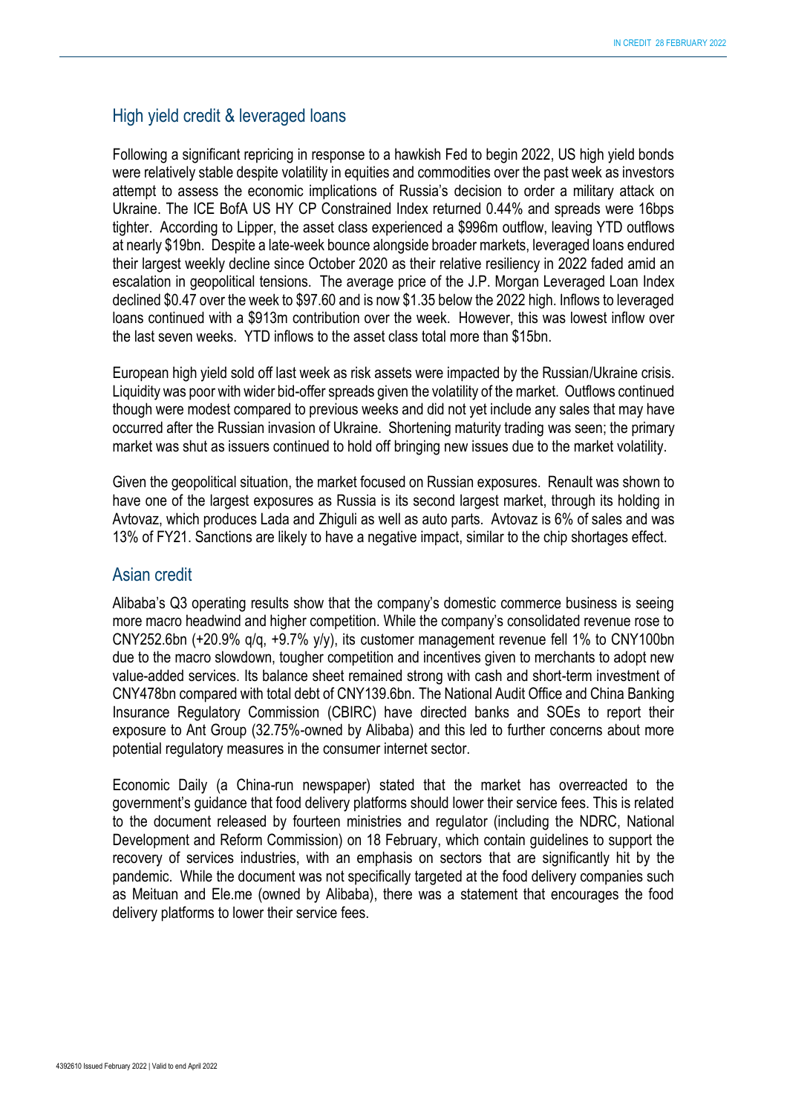#### High yield credit & leveraged loans

Following a significant repricing in response to a hawkish Fed to begin 2022, US high yield bonds were relatively stable despite volatility in equities and commodities over the past week as investors attempt to assess the economic implications of Russia's decision to order a military attack on Ukraine. The ICE BofA US HY CP Constrained Index returned 0.44% and spreads were 16bps tighter. According to Lipper, the asset class experienced a \$996m outflow, leaving YTD outflows at nearly \$19bn. Despite a late-week bounce alongside broader markets, leveraged loans endured their largest weekly decline since October 2020 as their relative resiliency in 2022 faded amid an escalation in geopolitical tensions. The average price of the J.P. Morgan Leveraged Loan Index declined \$0.47 over the week to \$97.60 and is now \$1.35 below the 2022 high. Inflows to leveraged loans continued with a \$913m contribution over the week. However, this was lowest inflow over the last seven weeks. YTD inflows to the asset class total more than \$15bn.

European high yield sold off last week as risk assets were impacted by the Russian/Ukraine crisis. Liquidity was poor with wider bid-offer spreads given the volatility of the market. Outflows continued though were modest compared to previous weeks and did not yet include any sales that may have occurred after the Russian invasion of Ukraine. Shortening maturity trading was seen; the primary market was shut as issuers continued to hold off bringing new issues due to the market volatility.

Given the geopolitical situation, the market focused on Russian exposures. Renault was shown to have one of the largest exposures as Russia is its second largest market, through its holding in Avtovaz, which produces Lada and Zhiguli as well as auto parts. Avtovaz is 6% of sales and was 13% of FY21. Sanctions are likely to have a negative impact, similar to the chip shortages effect.

#### Asian credit

Alibaba's Q3 operating results show that the company's domestic commerce business is seeing more macro headwind and higher competition. While the company's consolidated revenue rose to CNY252.6bn (+20.9% q/q, +9.7% y/y), its customer management revenue fell 1% to CNY100bn due to the macro slowdown, tougher competition and incentives given to merchants to adopt new value-added services. Its balance sheet remained strong with cash and short-term investment of CNY478bn compared with total debt of CNY139.6bn. The National Audit Office and China Banking Insurance Regulatory Commission (CBIRC) have directed banks and SOEs to report their exposure to Ant Group (32.75%-owned by Alibaba) and this led to further concerns about more potential regulatory measures in the consumer internet sector.

Economic Daily (a China-run newspaper) stated that the market has overreacted to the government's guidance that food delivery platforms should lower their service fees. This is related to the document released by fourteen ministries and regulator (including the NDRC, National Development and Reform Commission) on 18 February, which contain guidelines to support the recovery of services industries, with an emphasis on sectors that are significantly hit by the pandemic. While the document was not specifically targeted at the food delivery companies such as Meituan and Ele.me (owned by Alibaba), there was a statement that encourages the food delivery platforms to lower their service fees.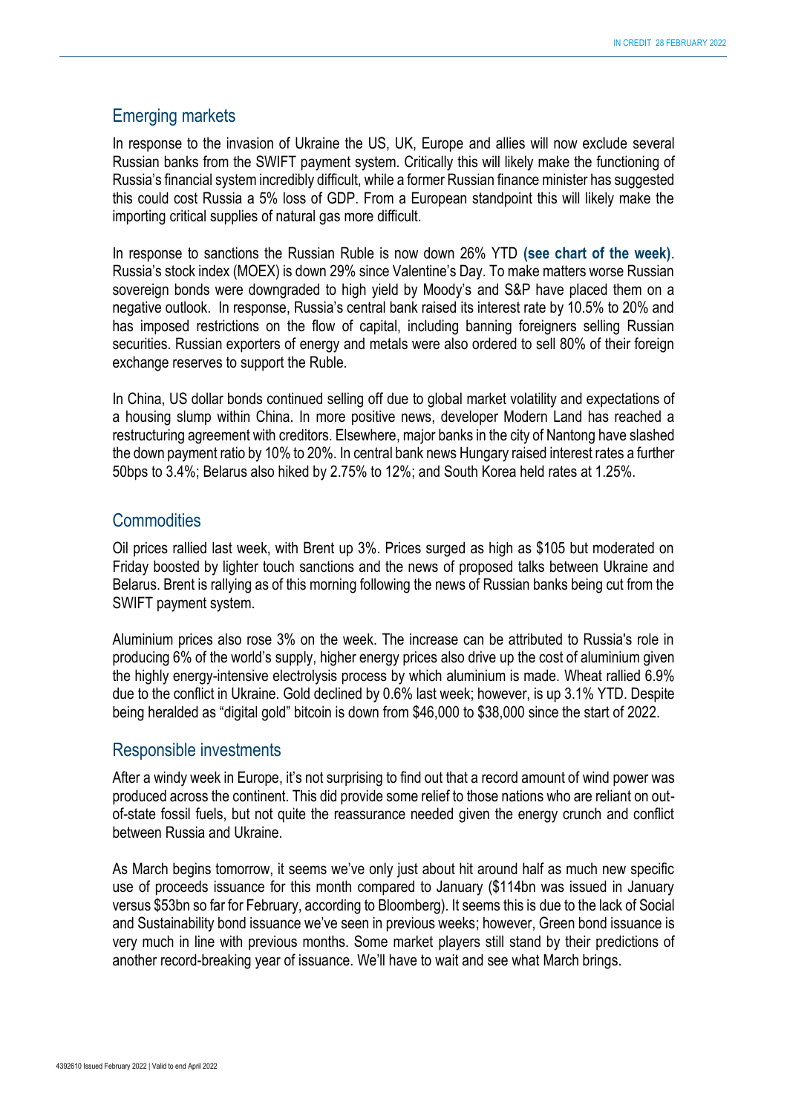#### Emerging markets

In response to the invasion of Ukraine the US, UK, Europe and allies will now exclude several Russian banks from the SWIFT payment system. Critically this will likely make the functioning of Russia's financial system incredibly difficult, while a former Russian finance minister has suggested this could cost Russia a 5% loss of GDP. From a European standpoint this will likely make the importing critical supplies of natural gas more difficult.

In response to sanctions the Russian Ruble is now down 26% YTD **(see chart of the week)**. Russia's stock index (MOEX) is down 29% since Valentine's Day. To make matters worse Russian sovereign bonds were downgraded to high yield by Moody's and S&P have placed them on a negative outlook. In response, Russia's central bank raised its interest rate by 10.5% to 20% and has imposed restrictions on the flow of capital, including banning foreigners selling Russian securities. Russian exporters of energy and metals were also ordered to sell 80% of their foreign exchange reserves to support the Ruble.

In China, US dollar bonds continued selling off due to global market volatility and expectations of a housing slump within China. In more positive news, developer Modern Land has reached a restructuring agreement with creditors. Elsewhere, major banks in the city of Nantong have slashed the down payment ratio by 10% to 20%. In central bank news Hungary raised interest rates a further 50bps to 3.4%; Belarus also hiked by 2.75% to 12%; and South Korea held rates at 1.25%.

#### **Commodities**

Oil prices rallied last week, with Brent up 3%. Prices surged as high as \$105 but moderated on Friday boosted by lighter touch sanctions and the news of proposed talks between Ukraine and Belarus. Brent is rallying as of this morning following the news of Russian banks being cut from the SWIFT payment system.

Aluminium prices also rose 3% on the week. The increase can be attributed to Russia's role in producing 6% of the world's supply, higher energy prices also drive up the cost of aluminium given the highly energy-intensive electrolysis process by which aluminium is made. Wheat rallied 6.9% due to the conflict in Ukraine. Gold declined by 0.6% last week; however, is up 3.1% YTD. Despite being heralded as "digital gold" bitcoin is down from \$46,000 to \$38,000 since the start of 2022.

#### Responsible investments

After a windy week in Europe, it's not surprising to find out that a record amount of wind power was produced across the continent. This did provide some relief to those nations who are reliant on outof-state fossil fuels, but not quite the reassurance needed given the energy crunch and conflict between Russia and Ukraine.

As March begins tomorrow, it seems we've only just about hit around half as much new specific use of proceeds issuance for this month compared to January (\$114bn was issued in January versus \$53bn so far for February, according to Bloomberg). It seems this is due to the lack of Social and Sustainability bond issuance we've seen in previous weeks; however, Green bond issuance is very much in line with previous months. Some market players still stand by their predictions of another record-breaking year of issuance. We'll have to wait and see what March brings.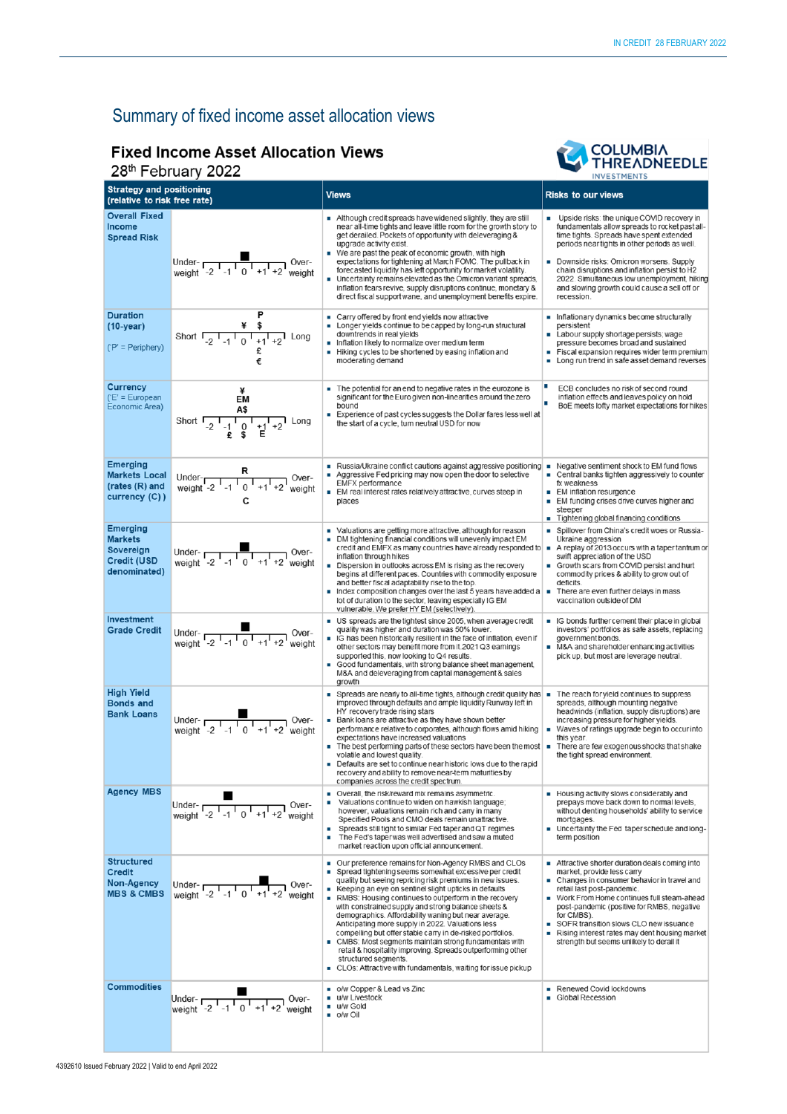## Summary of fixed income asset allocation views

### **Fixed Income Asset Allocation Views**

28th February 2022



| <b>Strategy and positioning</b><br>(relative to risk free rate)                      |                                                                                                                                                   | <b>Views</b>                                                                                                                                                                                                                                                                                                                                                                                                                                                                                                                                                                                                                                                                                                                                                                             | <b>Risks to our views</b>                                                                                                                                                                                                                                                                                                                                                                                                  |  |
|--------------------------------------------------------------------------------------|---------------------------------------------------------------------------------------------------------------------------------------------------|------------------------------------------------------------------------------------------------------------------------------------------------------------------------------------------------------------------------------------------------------------------------------------------------------------------------------------------------------------------------------------------------------------------------------------------------------------------------------------------------------------------------------------------------------------------------------------------------------------------------------------------------------------------------------------------------------------------------------------------------------------------------------------------|----------------------------------------------------------------------------------------------------------------------------------------------------------------------------------------------------------------------------------------------------------------------------------------------------------------------------------------------------------------------------------------------------------------------------|--|
| <b>Overall Fixed</b><br>Income<br><b>Spread Risk</b>                                 | Under- $\frac{1}{\sqrt{2} \cdot 1 - 1}$ 0 <sup>1</sup> + 1 <sup>1</sup> + 2 <sup>1</sup> weight                                                   | Although credit spreads have widened slightly, they are still<br>near all-time tights and leave little room for the growth story to<br>get derailed. Pockets of opportunity with deleveraging &<br>upgrade activity exist.<br>We are past the peak of economic growth, with high<br>expectations for tightening at March FOMC. The pullback in<br>forecasted liquidity has left opportunity for market volatility.<br>Uncertainty remains elevated as the Omicron variant spreads,<br>inflation fears revive, supply disruptions continue, monetary &<br>direct fiscal support wane, and unemployment benefits expire.                                                                                                                                                                   | Upside risks: the unique COVID recovery in<br>fundamentals allow spreads to rocket past all-<br>time tights. Spreads have spent extended<br>periods near tights in other periods as well.<br>Downside risks: Omicron worsens. Supply<br>chain disruptions and inflation persist to H2<br>2022. Simultaneous low unemployment, hiking<br>and slowing growth could cause a sell off or<br>recession.                         |  |
| <b>Duration</b><br>$(10-year)$<br>$(P' = Periphery)$                                 | Short $\begin{array}{cc} & \frac{1}{4} & \frac{1}{8} \\ -2 & -1 & 0 & +1 & +2 \\ 1 & 0 & 1 & +1 & +2 \end{array}$ Long                            | Carry offered by front end yields now attractive<br>ш<br>Longer yields continue to be capped by long-run structural<br>downtrends in real vields<br>Inflation likely to normalize over medium term<br>Hiking cycles to be shortened by easing inflation and<br>moderating demand                                                                                                                                                                                                                                                                                                                                                                                                                                                                                                         | Inflationary dynamics become structurally<br>persistent<br>Labour supply shortage persists; wage<br>pressure becomes broad and sustained<br>Fiscal expansion requires wider term premium<br>Long run trend in safe asset demand reverses                                                                                                                                                                                   |  |
| Currency<br>$E' = European$<br>Economic Area)                                        | ¥<br>EМ<br>Short $\frac{A\$ }{}_{-2} $\frac{1}{-1}$ $\frac{1}{0}$ $\frac{1}{+1}$ $\frac{1}{+2}$ Long                                              | The potential for an end to negative rates in the eurozone is<br>significant for the Euro given non-linearities around the zero<br>bound<br>Experience of past cycles suggests the Dollar fares less well at<br>the start of a cycle, tum neutral USD for now                                                                                                                                                                                                                                                                                                                                                                                                                                                                                                                            | о<br>ECB concludes no risk of second round<br>inflation effects and leaves policy on hold<br>п<br>BoE meets lofty market expectations for hikes                                                                                                                                                                                                                                                                            |  |
| <b>Emerging</b><br><b>Markets Local</b><br>(rates (R) and<br>currency (C))           | Under- $R$<br>weight -2 $1 - 1 - 1 - 1 + 1 + 2$ weight                                                                                            | ■ Russia/Ukraine conflict cautions against aggressive positioning<br>Aggressive Fed pricing may now open the door to selective<br><b>EMFX</b> performance<br>EM real interest rates relatively attractive, curves steep in<br>places                                                                                                                                                                                                                                                                                                                                                                                                                                                                                                                                                     | Negative sentiment shock to EM fund flows<br>т<br>Central banks tighten aggressively to counter<br>ш<br>fx weakness<br><b>EM inflation resurgence</b><br>EM funding crises drive curves higher and<br>steeper<br>Tightening global financing conditions<br>ш                                                                                                                                                               |  |
| <b>Emerging</b><br><b>Markets</b><br>Sovereign<br><b>Credit (USD</b><br>denominated) | Under- $\frac{2}{\sqrt{1}-1}$ 0 <sup>1</sup> +1 <sup>1</sup> +2 <sup>1</sup> weight                                                               | Valuations are getting more attractive, although for reason<br>DM tightening financial conditions will unevenly impact EM<br>credit and EMFX as many countries have already responded to =<br>inflation through hikes<br>Dispersion in outlooks across EM is rising as the recovery<br>$\mathbf{u}$<br>begins at different paces. Countries with commodity exposure<br>and better fiscal adaptability rise to the top.<br>Index composition changes over the last 5 years have added a $\vert \bullet \vert$<br>٠<br>lot of duration to the sector, leaving especially IG EM<br>vulnerable. We prefer HY EM (selectively)                                                                                                                                                                | Spillover from China's credit woes or Russia-<br>Ukraine aggression<br>A replay of 2013 occurs with a taper tantrum or<br>swift appreciation of the USD<br>Growth scars from COVID persist and hurt<br>commodity prices & ability to grow out of<br>deficits.<br>There are even further delays in mass<br>vaccination outside of DM                                                                                        |  |
| Investment<br><b>Grade Credit</b>                                                    | Under-<br>weight $\begin{array}{cc} 1 & 0 \\ -2 & -1 & 0 \\ 1 & 1 & +1 \\ 2 & 0 & -1 \end{array}$ Over-                                           | US spreads are the tightest since 2005, when average credit<br>quality was higher and duration was 50% lower.<br>IG has been historically resilient in the face of inflation, even if<br>other sectors may benefit more from it.2021 Q3 eamings<br>supported this, now looking to Q4 results.<br>Good fundamentals, with strong balance sheet management,<br>٠<br>M&A and deleveraging from capital management & sales<br>growth                                                                                                                                                                                                                                                                                                                                                         | G bonds further cement their place in global<br>investors' portfolios as safe assets, replacing<br>government bonds.<br>M&A and shareholder enhancing activities<br>pick up, but most are leverage neutral.                                                                                                                                                                                                                |  |
| <b>High Yield</b><br><b>Bonds and</b><br><b>Bank Loans</b>                           | Under-<br>weight $-2$ $-1$ $0$ $+1$ $+2$ weight                                                                                                   | Spreads are nearly to all-time tights, although credit quality has $\blacksquare$<br>improved through defaults and ample liquidity Runway left in<br>HY recovery trade rising stars<br>Bank loans are attractive as they have shown better<br>performance relative to corporates, although flows amid hiking<br>expectations have increased valuations<br>$\blacksquare$ The best performing parts of these sectors have been the most $\blacksquare$<br>volatile and lowest quality.<br>Defaults are set to continue near historic lows due to the rapid<br>recovery and ability to remove near-term maturities by<br>companies across the credit spectrum.                                                                                                                             | The reach for yield continues to suppress<br>spreads, although mounting negative<br>headwinds (inflation, supply disruptions) are<br>increasing pressure for higher yields.<br>Waves of ratings upgrade begin to occur into<br>$\overline{\phantom{a}}$<br>this year.<br>There are few exogenous shocks that shake<br>the tight spread environment.                                                                        |  |
| <b>Agency MBS</b>                                                                    | Under- $\frac{1}{\sqrt{2} \cdot 1} \cdot \frac{1}{\sqrt{2} \cdot 1} \cdot \frac{1}{\sqrt{2} \cdot 1} \cdot \frac{1}{\sqrt{2}}$<br>Over-<br>weight | • Overall, the risk/reward mix remains asymmetric.<br>Valuations continue to widen on hawkish language;<br>however, valuations remain rich and carry in many<br>Specified Pools and CMO deals remain unattractive.<br>Spreads still tight to similar Fed taper and QT regimes<br>The Fed's taper was well advertised and saw a muted<br>٠<br>market reaction upon official announcement.                                                                                                                                                                                                                                                                                                                                                                                                 | Housing activity slows considerably and<br>prepays move back down to normal levels,<br>without denting households' ability to service<br>mortgages.<br>Uncertainty the Fed taper schedule and long-<br>term position                                                                                                                                                                                                       |  |
| <b>Structured</b><br><b>Credit</b><br>Non-Agency<br><b>MBS &amp; CMBS</b>            | Under- $\overline{C_1C_2C_3C_4}$ -1 $\overline{C_1C_4}$ +1 +2 weight                                                                              | Our preference remains for Non-Agency RMBS and CLOs<br>ш<br>Spread tightening seems somewhat excessive per credit<br>quality but seeing repricing risk premiums in new issues.<br>Keeping an eye on sentinel slight upticks in defaults<br>$\blacksquare$<br>RMBS: Housing continues to outperform in the recovery<br>$\mathbf{r}$<br>with constrained supply and strong balance sheets &<br>demographics. Affordability waning but near average.<br>Anticipating more supply in 2022. Valuations less<br>compelling but offer stable carry in de-risked portfolios.<br>• CMBS: Most segments maintain strong fundamentals with<br>retail & hospitality improving. Spreads outperforming other<br>structured segments.<br>• CLOs: Attractive with fundamentals, waiting for issue pickup | $\blacksquare$ Attractive shorter duration deals coming into<br>market, provide less carry<br>• Changes in consumer behavior in travel and<br>retail last post-pandemic.<br>■ Work From Home continues full steam-ahead<br>post-pandemic (positive for RMBS, negative<br>for CMBS).<br>SOFR transition slows CLO new issuance<br>Rising interest rates may dent housing market<br>strength but seems unlikely to derail it |  |
| <b>Commodities</b>                                                                   | Under- $\sqrt{\frac{1}{1 - 1} + \frac{1}{1 - 2}}$ Over-<br>weight -2 -1 0 +1 +2 weight                                                            | ■ o/w Copper & Lead vs Zinc<br>u/w Livestock<br>u/w Gold<br>■ o/w Oil                                                                                                                                                                                                                                                                                                                                                                                                                                                                                                                                                                                                                                                                                                                    | Renewed Covid lockdowns<br>Global Recession                                                                                                                                                                                                                                                                                                                                                                                |  |